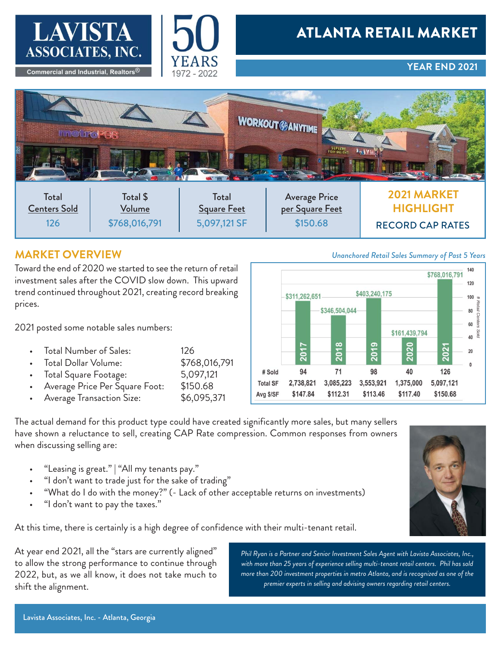



### **YEAR END 2021**



## **MARKET OVERVIEW**

Toward the end of 2020 we started to see the return of retail investment sales after the COVID slow down. This upward trend continued throughout 2021, creating record breaking prices.

2021 posted some notable sales numbers:

- 
- Total Number of Sales: 126 Total Dollar Volume:
- Total Square Footage: 5,097,121
- Average Price Per Square Foot: \$150.68
- Average Transaction Size: \$6,095,371



The actual demand for this product type could have created significantly more sales, but many sellers have shown a reluctance to sell, creating CAP Rate compression. Common responses from owners when discussing selling are:

- "Leasing is great." | "All my tenants pay."
- "I don't want to trade just for the sake of trading"
- "What do I do with the money?" (- Lack of other acceptable returns on investments)
- "I don't want to pay the taxes."

At this time, there is certainly is a high degree of confidence with their multi-tenant retail.

At year end 2021, all the "stars are currently aligned" to allow the strong performance to continue through 2022, but, as we all know, it does not take much to shift the alignment.

*Phil Ryan is a Partner and Senior Investment Sales Agent with Lavista Associates, Inc., with more than 25 years of experience selling multi-tenant retail centers. Phil has sold more than 200 investment properties in metro Atlanta, and is recognized as one of the premier experts in selling and advising owners regarding retail centers.*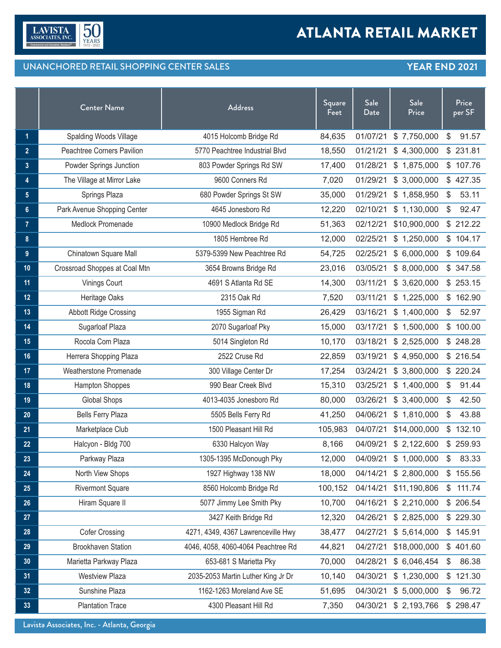

## UNANCHORED RETAIL SHOPPING CENTER SALES **YEAR END 2021**

|                 | <b>Center Name</b>            | <b>Address</b>                     | Square<br>Feet | Sale<br>Date | <b>Sale</b><br>Price | Price<br>per SF       |  |
|-----------------|-------------------------------|------------------------------------|----------------|--------------|----------------------|-----------------------|--|
| $\mathbf{1}$    | <b>Spalding Woods Village</b> | 4015 Holcomb Bridge Rd             | 84,635         | 01/07/21     | \$7,750,000          | $\mathbb{S}$<br>91.57 |  |
| $\overline{2}$  | Peachtree Corners Pavilion    | 5770 Peachtree Industrial Blvd     | 18,550         | 01/21/21     | \$4,300,000          | \$231.81              |  |
| 3               | Powder Springs Junction       | 803 Powder Springs Rd SW           | 17,400         | 01/28/21     | \$1,875,000          | \$107.76              |  |
| 4               | The Village at Mirror Lake    | 9600 Conners Rd                    | 7,020          | 01/29/21     | \$3,000,000          | \$427.35              |  |
| $5\phantom{.0}$ | Springs Plaza                 | 680 Powder Springs St SW           | 35,000         | 01/29/21     | \$1,858,950          | 53.11<br>$\mathbb{S}$ |  |
| $6\phantom{a}$  | Park Avenue Shopping Center   | 4645 Jonesboro Rd                  | 12,220         | 02/10/21     | \$1,130,000          | \$<br>92.47           |  |
| $\overline{7}$  | Medlock Promenade             | 10900 Medlock Bridge Rd            | 51,363         | 02/12/21     | \$10,900,000         | \$212.22              |  |
| 8               |                               | 1805 Hembree Rd                    | 12,000         | 02/25/21     | \$1,250,000          | \$104.17              |  |
| 9               | Chinatown Square Mall         | 5379-5399 New Peachtree Rd         | 54,725         | 02/25/21     | \$6,000,000          | \$109.64              |  |
| 10              | Crossroad Shoppes at Coal Mtn | 3654 Browns Bridge Rd              | 23,016         | 03/05/21     | \$8,000,000          | \$347.58              |  |
| 11              | Vinings Court                 | 4691 S Atlanta Rd SE               | 14,300         | 03/11/21     | \$3,620,000          | \$253.15              |  |
| 12              | Heritage Oaks                 | 2315 Oak Rd                        | 7,520          | 03/11/21     | \$1,225,000          | \$162.90              |  |
| 13              | <b>Abbott Ridge Crossing</b>  | 1955 Sigman Rd                     | 26,429         | 03/16/21     | \$1,400,000          | \$<br>52.97           |  |
| 14              | Sugarloaf Plaza               | 2070 Sugarloaf Pky                 | 15,000         | 03/17/21     | \$1,500,000          | \$100.00              |  |
| 15              | Rocola Com Plaza              | 5014 Singleton Rd                  | 10,170         | 03/18/21     | \$2,525,000          | \$248.28              |  |
| 16              | Herrera Shopping Plaza        | 2522 Cruse Rd                      | 22,859         | 03/19/21     | \$4,950,000          | \$216.54              |  |
| 17              | Weatherstone Promenade        | 300 Village Center Dr              | 17,254         | 03/24/21     | \$3,800,000          | \$220.24              |  |
| 18              | <b>Hampton Shoppes</b>        | 990 Bear Creek Blvd                | 15,310         | 03/25/21     | \$1,400,000          | \$<br>91.44           |  |
| 19              | <b>Global Shops</b>           | 4013-4035 Jonesboro Rd             | 80,000         | 03/26/21     | \$3,400,000          | 42.50<br>\$           |  |
| 20              | <b>Bells Ferry Plaza</b>      | 5505 Bells Ferry Rd                | 41,250         | 04/06/21     | \$1,810,000          | \$<br>43.88           |  |
| 21              | Marketplace Club              | 1500 Pleasant Hill Rd              | 105,983        | 04/07/21     | \$14,000,000         | \$132.10              |  |
| 22              | Halcyon - Bldg 700            | 6330 Halcyon Way                   | 8,166          | 04/09/21     | \$2,122,600          | \$259.93              |  |
| 23              | Parkway Plaza                 | 1305-1395 McDonough Pky            | 12,000         | 04/09/21     | \$1,000,000          | \$<br>83.33           |  |
| 24              | North View Shops              | 1927 Highway 138 NW                | 18,000         | 04/14/21     | \$2,800,000          | \$155.56              |  |
| 25              | <b>Rivermont Square</b>       | 8560 Holcomb Bridge Rd             | 100,152        | 04/14/21     | \$11,190,806         | 111.74<br>\$          |  |
| 26              | Hiram Square II               | 5077 Jimmy Lee Smith Pky           | 10,700         | 04/16/21     | \$2,210,000          | \$206.54              |  |
| 27              |                               | 3427 Keith Bridge Rd               | 12,320         | 04/26/21     | \$2,825,000          | \$229.30              |  |
| 28              | <b>Cofer Crossing</b>         | 4271, 4349, 4367 Lawrenceville Hwy | 38,477         | 04/27/21     | \$5,614,000          | \$145.91              |  |
| 29              | <b>Brookhaven Station</b>     | 4046, 4058, 4060-4064 Peachtree Rd | 44,821         | 04/27/21     | \$18,000,000         | \$401.60              |  |
| 30 <sub>2</sub> | Marietta Parkway Plaza        | 653-681 S Marietta Pky             | 70,000         | 04/28/21     | \$6,046,454          | 86.38<br>\$           |  |
| 31              | <b>Westview Plaza</b>         | 2035-2053 Martin Luther King Jr Dr | 10,140         | 04/30/21     | \$1,230,000          | \$121.30              |  |
| 32              | Sunshine Plaza                | 1162-1263 Moreland Ave SE          | 51,695         | 04/30/21     | \$5,000,000          | 96.72<br>\$           |  |
| 33              | <b>Plantation Trace</b>       | 4300 Pleasant Hill Rd              | 7,350          | 04/30/21     | \$2,193,766          | \$298.47              |  |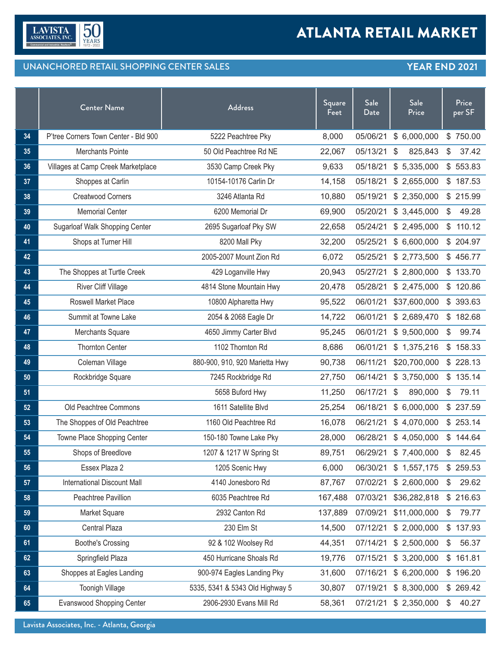

## UNANCHORED RETAIL SHOPPING CENTER SALES **YEAR END 2021**

|    | <b>Center Name</b>                    | <b>Address</b>                  | Square<br>Feet | Sale<br>Date | Sale<br>Price |       | Price<br>per SF |
|----|---------------------------------------|---------------------------------|----------------|--------------|---------------|-------|-----------------|
| 34 | P'tree Corners Town Center - Bld 900  | 5222 Peachtree Pky              | 8,000          | 05/06/21     | \$6,000,000   |       | \$750.00        |
| 35 | Merchants Pointe                      | 50 Old Peachtree Rd NE          | 22,067         | 05/13/21     | 825,843<br>S  | $\$\$ | 37.42           |
| 36 | Villages at Camp Creek Marketplace    | 3530 Camp Creek Pky             | 9,633          | 05/18/21     | \$5,335,000   |       | \$553.83        |
| 37 | Shoppes at Carlin                     | 10154-10176 Carlin Dr           | 14,158         | 05/18/21     | \$2,655,000   |       | \$187.53        |
| 38 | <b>Creatwood Corners</b>              | 3246 Atlanta Rd                 | 10,880         | 05/19/21     | \$2,350,000   |       | \$215.99        |
| 39 | <b>Memorial Center</b>                | 6200 Memorial Dr                | 69,900         | 05/20/21     | \$3,445,000   | \$    | 49.28           |
| 40 | <b>Sugarloaf Walk Shopping Center</b> | 2695 Sugarloaf Pky SW           | 22,658         | 05/24/21     | \$2,495,000   |       | \$110.12        |
| 41 | Shops at Turner Hill                  | 8200 Mall Pky                   | 32,200         | 05/25/21     | \$6,600,000   |       | \$204.97        |
| 42 |                                       | 2005-2007 Mount Zion Rd         | 6,072          | 05/25/21     | \$2,773,500   |       | \$456.77        |
| 43 | The Shoppes at Turtle Creek           | 429 Loganville Hwy              | 20,943         | 05/27/21     | \$2,800,000   |       | \$133.70        |
| 44 | River Cliff Village                   | 4814 Stone Mountain Hwy         | 20,478         | 05/28/21     | \$2,475,000   |       | \$120.86        |
| 45 | Roswell Market Place                  | 10800 Alpharetta Hwy            | 95,522         | 06/01/21     | \$37,600,000  |       | \$393.63        |
| 46 | Summit at Towne Lake                  | 2054 & 2068 Eagle Dr            | 14,722         | 06/01/21     | \$2,689,470   |       | \$182.68        |
| 47 | Merchants Square                      | 4650 Jimmy Carter Blvd          | 95,245         | 06/01/21     | \$9,500,000   | \$    | 99.74           |
| 48 | <b>Thornton Center</b>                | 1102 Thornton Rd                | 8,686          | 06/01/21     | \$1,375,216   |       | \$158.33        |
| 49 | Coleman Village                       | 880-900, 910, 920 Marietta Hwy  | 90,738         | 06/11/21     | \$20,700,000  |       | \$228.13        |
| 50 | Rockbridge Square                     | 7245 Rockbridge Rd              | 27,750         | 06/14/21     | \$3,750,000   |       | \$135.14        |
| 51 |                                       | 5658 Buford Hwy                 | 11,250         | 06/17/21     | 890,000<br>\$ | \$    | 79.11           |
| 52 | Old Peachtree Commons                 | 1611 Satellite Blvd             | 25,254         | 06/18/21     | \$6,000,000   |       | \$237.59        |
| 53 | The Shoppes of Old Peachtree          | 1160 Old Peachtree Rd           | 16,078         | 06/21/21     | \$4,070,000   |       | \$253.14        |
| 54 | Towne Place Shopping Center           | 150-180 Towne Lake Pky          | 28,000         | 06/28/21     | \$4,050,000   |       | \$144.64        |
| 55 | Shops of Breedlove                    | 1207 & 1217 W Spring St         | 89,751         | 06/29/21     | \$7,400,000   | \$    | 82.45           |
| 56 | Essex Plaza 2                         | 1205 Scenic Hwy                 | 6,000          | 06/30/21     | \$1,557,175   |       | \$259.53        |
| 57 | International Discount Mall           | 4140 Jonesboro Rd               | 87,767         | 07/02/21     | \$2,600,000   | \$    | 29.62           |
| 58 | Peachtree Pavillion                   | 6035 Peachtree Rd               | 167,488        | 07/03/21     | \$36,282,818  |       | \$216.63        |
| 59 | Market Square                         | 2932 Canton Rd                  | 137,889        | 07/09/21     | \$11,000,000  | \$    | 79.77           |
| 60 | Central Plaza                         | 230 Elm St                      | 14,500         | 07/12/21     | \$2,000,000   |       | \$137.93        |
| 61 | <b>Boothe's Crossing</b>              | 92 & 102 Woolsey Rd             | 44,351         | 07/14/21     | \$2,500,000   | \$    | 56.37           |
| 62 | Springfield Plaza                     | 450 Hurricane Shoals Rd         | 19,776         | 07/15/21     | \$3,200,000   |       | \$161.81        |
| 63 | Shoppes at Eagles Landing             | 900-974 Eagles Landing Pky      | 31,600         | 07/16/21     | \$6,200,000   |       | \$196.20        |
| 64 | <b>Toonigh Village</b>                | 5335, 5341 & 5343 Old Highway 5 | 30,807         | 07/19/21     | \$8,300,000   |       | \$269.42        |
| 65 | <b>Evanswood Shopping Center</b>      | 2906-2930 Evans Mill Rd         | 58,361         | 07/21/21     | \$2,350,000   | \$    | 40.27           |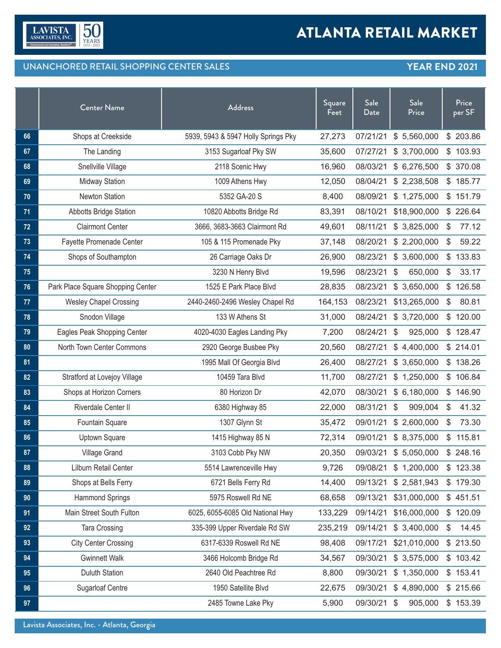

## UNANCHORED RETAIL SHOPPING CENTER SALES **YEAR END 2021**

|    | <b>Center Name</b>                | <b>Address</b>                      | Square<br>Feet | Sale<br>Date | Sale<br>Price |                | Price<br>per SF |
|----|-----------------------------------|-------------------------------------|----------------|--------------|---------------|----------------|-----------------|
| 66 | Shops at Creekside                | 5939, 5943 & 5947 Holly Springs Pky | 27,273         | 07/21/21     | \$5,560,000   |                | \$203.86        |
| 67 | The Landing                       | 3153 Sugarloaf Pky SW               | 35,600         | 07/27/21     | \$3,700,000   |                | \$103.93        |
| 68 | Snellville Village                | 2118 Scenic Hwy                     | 16,960         | 08/03/21     | \$6,276,500   |                | \$ 370.08       |
| 69 | <b>Midway Station</b>             | 1009 Athens Hwy                     | 12,050         | 08/04/21     | \$2,238,508   |                | \$185.77        |
| 70 | <b>Newton Station</b>             | 5352 GA-20 S                        | 8,400          | 08/09/21     | \$1,275,000   |                | \$151.79        |
| 71 | <b>Abbotts Bridge Station</b>     | 10820 Abbotts Bridge Rd             | 83,391         | 08/10/21     | \$18,900,000  |                | \$226.64        |
| 72 | <b>Clairmont Center</b>           | 3666, 3683-3663 Clairmont Rd        | 49,601         | 08/11/21     | \$3,825,000   | S              | 77.12           |
| 73 | Fayette Promenade Center          | 105 & 115 Promenade Pky             | 37,148         | 08/20/21     | \$2,200,000   | \$             | 59.22           |
| 74 | Shops of Southampton              | 26 Carriage Oaks Dr                 | 26,900         | 08/23/21     | \$3,600,000   | $\mathbb{S}^-$ | 133.83          |
| 75 |                                   | 3230 N Henry Blvd                   | 19,596         | 08/23/21     | 650,000<br>\$ | \$             | 33.17           |
| 76 | Park Place Square Shopping Center | 1525 E Park Place Blvd              | 28,835         | 08/23/21     | \$3,650,000   | \$             | 126.58          |
| 77 | <b>Wesley Chapel Crossing</b>     | 2440-2460-2496 Wesley Chapel Rd     | 164,153        | 08/23/21     | \$13,265,000  | \$             | 80.81           |
| 78 | Snodon Village                    | 133 W Athens St                     | 31,000         | 08/24/21     | \$3,720,000   |                | \$120.00        |
| 79 | Eagles Peak Shopping Center       | 4020-4030 Eagles Landing Pky        | 7,200          | 08/24/21     | 925,000<br>\$ |                | \$128.47        |
| 80 | North Town Center Commons         | 2920 George Busbee Pky              | 20,560         | 08/27/21     | \$4,400,000   |                | \$214.01        |
| 81 |                                   | 1995 Mall Of Georgia Blvd           | 26,400         | 08/27/21     | \$3,650,000   |                | \$138.26        |
| 82 | Stratford at Lovejoy Village      | 10459 Tara Blvd                     | 11,700         | 08/27/21     | \$1,250,000   |                | \$106.84        |
| 83 | Shops at Horizon Corners          | 80 Horizon Dr                       | 42,070         | 08/30/21     | \$6,180,000   |                | \$146.90        |
| 84 | Riverdale Center II               | 6380 Highway 85                     | 22,000         | 08/31/21     | 909,004<br>\$ | \$             | 41.32           |
| 85 | Fountain Square                   | 1307 Glynn St                       | 35,472         | 09/01/21     | \$2,600,000   | S              | 73.30           |
| 86 | <b>Uptown Square</b>              | 1415 Highway 85 N                   | 72,314         | 09/01/21     | \$8,375,000   |                | \$115.81        |
| 87 | Village Grand                     | 3103 Cobb Pky NW                    | 20,350         | 09/03/21     | \$5,050,000   | \$             | 248.16          |
| 88 | Lilburn Retail Center             | 5514 Lawrenceville Hwy              | 9,726          | 09/08/21     | \$1,200,000   |                | \$123.38        |
| 89 | Shops at Bells Ferry              | 6721 Bells Ferry Rd                 | 14,400         | 09/13/21     | \$2,581,943   |                | \$179.30        |
| 90 | <b>Hammond Springs</b>            | 5975 Roswell Rd NE                  | 68,658         | 09/13/21     | \$31,000,000  |                | \$451.51        |
| 91 | Main Street South Fulton          | 6025, 6055-6085 Old National Hwy    | 133,229        | 09/14/21     | \$16,000,000  |                | \$120.09        |
| 92 | Tara Crossing                     | 335-399 Upper Riverdale Rd SW       | 235,219        | 09/14/21     | \$3,400,000   | \$             | 14.45           |
| 93 | <b>City Center Crossing</b>       | 6317-6339 Roswell Rd NE             | 98,408         | 09/17/21     | \$21,010,000  |                | \$213.50        |
| 94 | <b>Gwinnett Walk</b>              | 3466 Holcomb Bridge Rd              | 34,567         | 09/30/21     | \$3,575,000   |                | \$103.42        |
| 95 | <b>Duluth Station</b>             | 2640 Old Peachtree Rd               | 8,800          | 09/30/21     | \$1,350,000   |                | \$153.41        |
| 96 | <b>Sugarloaf Centre</b>           | 1950 Satellite Blvd                 | 22,675         | 09/30/21     | \$4,890,000   |                | \$215.66        |
| 97 |                                   | 2485 Towne Lake Pky                 | 5,900          | 09/30/21     | 905,000<br>\$ |                | \$153.39        |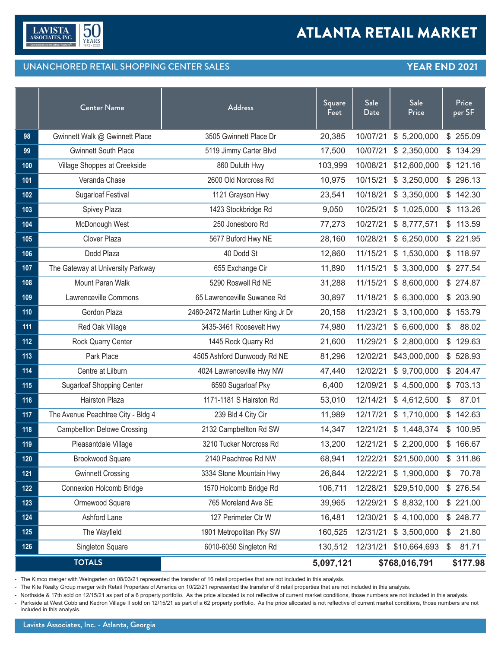

## UNANCHORED RETAIL SHOPPING CENTER SALES **YEAR END 2021**

|       | <b>Center Name</b>                 | <b>Address</b>                     | Square<br>Feet             | Sale<br>Date | <b>Sale</b><br>Price |               | Price<br>per SF |
|-------|------------------------------------|------------------------------------|----------------------------|--------------|----------------------|---------------|-----------------|
| 98    | Gwinnett Walk @ Gwinnett Place     | 3505 Gwinnett Place Dr             | 20,385                     | 10/07/21     | \$5,200,000          |               | \$255.09        |
| 99    | <b>Gwinnett South Place</b>        | 5119 Jimmy Carter Blvd             | 17,500                     | 10/07/21     | \$2,350,000          |               | \$134.29        |
| 100   | Village Shoppes at Creekside       | 860 Duluth Hwy                     | 103,999                    | 10/08/21     | \$12,600,000         |               | \$121.16        |
| 101   | Veranda Chase                      | 2600 Old Norcross Rd               | 10,975                     | 10/15/21     | \$3,250,000          |               | \$296.13        |
| 102   | <b>Sugarloaf Festival</b>          | 1121 Grayson Hwy                   | 23,541                     | 10/18/21     | \$3,350,000          |               | \$142.30        |
| 103   | Spivey Plaza                       | 1423 Stockbridge Rd                | 9,050                      | 10/25/21     | \$1,025,000          |               | \$113.26        |
| 104   | McDonough West                     | 250 Jonesboro Rd                   | 77,273                     | 10/27/21     | \$8,777,571          |               | \$113.59        |
| 105   | Clover Plaza                       | 5677 Buford Hwy NE                 | 28,160                     | 10/28/21     | \$6,250,000          |               | \$221.95        |
| 106   | Dodd Plaza                         | 40 Dodd St                         | 12,860                     | 11/15/21     | \$1,530,000          |               | \$118.97        |
| 107   | The Gateway at University Parkway  | 655 Exchange Cir                   | 11,890                     | 11/15/21     | \$3,300,000          |               | \$277.54        |
| 108   | Mount Paran Walk                   | 5290 Roswell Rd NE                 | 31,288                     | 11/15/21     | \$8,600,000          |               | \$274.87        |
| 109   | Lawrenceville Commons              | 65 Lawrenceville Suwanee Rd        | 30,897                     | 11/18/21     | \$6,300,000          |               | \$ 203.90       |
| 110   | Gordon Plaza                       | 2460-2472 Martin Luther King Jr Dr | 20,158                     | 11/23/21     | \$3,100,000          |               | \$153.79        |
| 111   | Red Oak Village                    | 3435-3461 Roosevelt Hwy            | 74,980                     | 11/23/21     | \$6,600,000          | $\mathbb{S}$  | 88.02           |
| $112$ | Rock Quarry Center                 | 1445 Rock Quarry Rd                | 21,600                     | 11/29/21     | \$2,800,000          |               | \$129.63        |
| 113   | Park Place                         | 4505 Ashford Dunwoody Rd NE        | 81,296                     | 12/02/21     | \$43,000,000         |               | \$528.93        |
| 114   | Centre at Lilburn                  | 4024 Lawrenceville Hwy NW          | 47,440                     | 12/02/21     | \$9,700,000          |               | \$204.47        |
| 115   | <b>Sugarloaf Shopping Center</b>   | 6590 Sugarloaf Pky                 | 6,400                      | 12/09/21     | \$4,500,000          |               | \$703.13        |
| 116   | Hairston Plaza                     | 1171-1181 S Hairston Rd            | 53,010                     | 12/14/21     | \$4,612,500          | \$            | 87.01           |
| 117   | The Avenue Peachtree City - Bldg 4 | 239 Bld 4 City Cir                 | 11,989                     | 12/17/21     | \$1,710,000          |               | \$142.63        |
| 118   | <b>Campbellton Delowe Crossing</b> | 2132 Campbellton Rd SW             | 14,347                     | 12/21/21     | \$1,448,374          |               | \$100.95        |
| 119   | Pleasantdale Village               | 3210 Tucker Norcross Rd            | 13,200                     | 12/21/21     | \$2,200,000          |               | \$166.67        |
| 120   | Brookwood Square                   | 2140 Peachtree Rd NW               | 68,941                     | 12/22/21     | \$21,500,000         | $\frac{1}{2}$ | 311.86          |
| $121$ | <b>Gwinnett Crossing</b>           | 3334 Stone Mountain Hwy            | 26,844                     | 12/22/21     | \$1,900,000          | \$            | 70.78           |
| 122   | <b>Connexion Holcomb Bridge</b>    | 1570 Holcomb Bridge Rd             | 106,711                    | 12/28/21     | \$29,510,000         |               | \$ 276.54       |
| 123   | Ormewood Square                    | 765 Moreland Ave SE                | 39,965                     | 12/29/21     | \$8,832,100          |               | \$221.00        |
| 124   | Ashford Lane                       | 127 Perimeter Ctr W                | 16,481                     | 12/30/21     | \$4,100,000          |               | \$248.77        |
| 125   | The Wayfield                       | 1901 Metropolitan Pky SW           | 160,525                    | 12/31/21     | \$3,500,000          | \$            | 21.80           |
| 126   | Singleton Square                   | 6010-6050 Singleton Rd             | 130,512                    | 12/31/21     | \$10,664,693         | \$            | 81.71           |
|       | <b>TOTALS</b>                      |                                    | 5,097,121<br>\$768,016,791 |              |                      |               | \$177.98        |

- The Kimco merger with Weingarten on 08/03/21 represented the transfer of 16 retail properties that are not included in this analysis.

- The Kite Realty Group merger with Retail Properties of America on 10/22/21 represented the transfer of 8 retail properties that are not included in this analysis.

- Northside & 17th sold on 12/15/21 as part of a 6 property portfolio. As the price allocated is not reflective of current market conditions, those numbers are not included in this analysis.

- Parkside at West Cobb and Kedron Village II sold on 12/15/21 as part of a 62 property portfolio. As the price allocated is not reflective of current market conditions, those numbers are not included in this analysis.